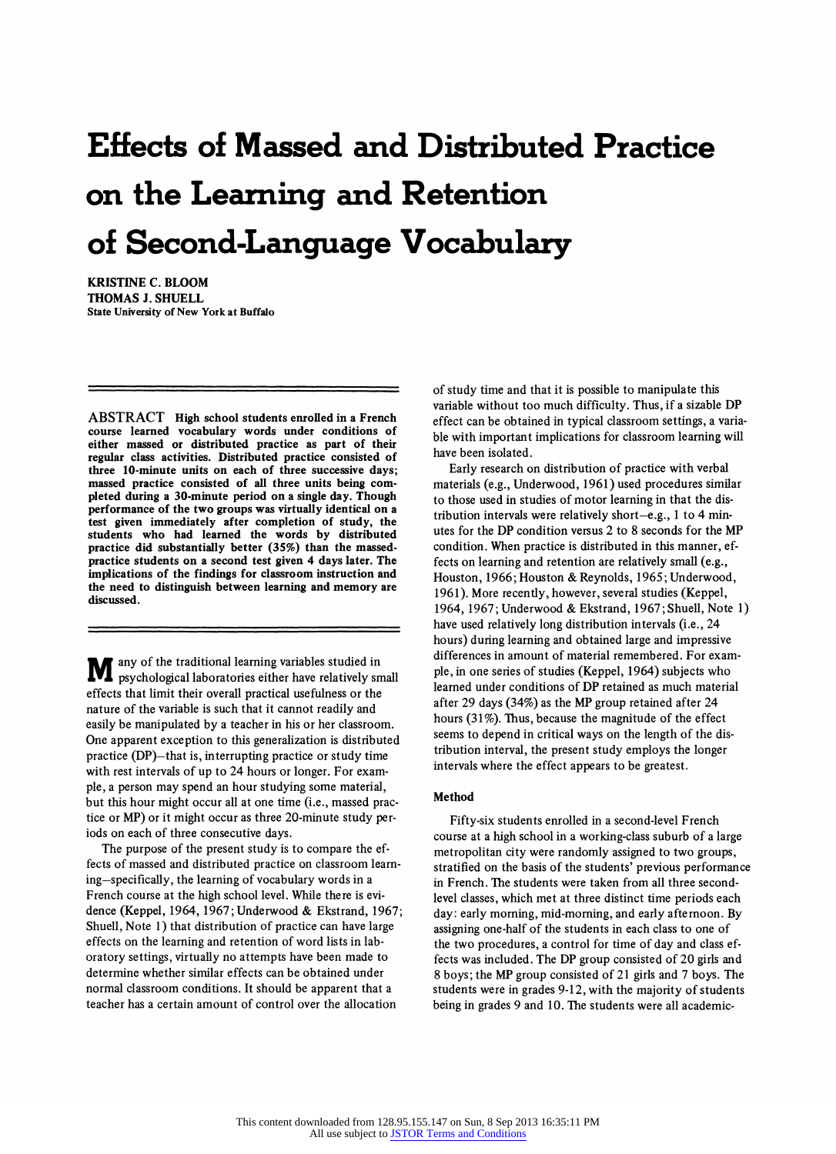# **Effects of Massed and Distributed Practice on the Learning and Retention of Second-Language Vocabulary**

**KRISTINE C. BLOOM THOMAS J. SHUELL State University of New York at Buffalo** 

**ABSTRACT High school students enrolled in a French course learned vocabulary words under conditions of**<br> **either massed or distributed practice as part of their regular class activities. Distributed practice consisted of three 10-minute units on each of three successive days; massed practice consisted of all three units being com pleted during a 30-minute period on a single day. Though performance of the two groups was virtually identical on a test given immediately after completion of study, the students who had learned the words by distributed practice did substantially better (35%) than the massed practice students on a second test given 4 days later. The implications of the findings for classroom instruction and the need to distinguish between learning and memory are discussed.** 

**M** any of the traditional learning variables studied in **psychological laboratories either have relatively small effects that limit their overall practical usefulness or the nature of the variable is such that it cannot readily and easily be manipulated by a teacher in his or her classroom. One apparent exception to this generalization is distributed practice (DP)**—that is, interrupting practice or study time **with rest intervals of up to 24 hours or longer. For exam ple, a person may spend an hour studying some material,**  but this hour might occur all at one time (i.e., massed prac**tice or MP) or it might occur as three 20-minute study per iods on each of three consecutive days.** 

The purpose of the present study is to compare the ef**fects of massed and distributed practice on classroom learn**  ing-specifically, the learning of vocabulary words in a French course at the high school level. While there is evi**dence (Keppel, 1964,1967; Underwood & Ekstrand, 1967; Shuell, Note 1) that distribution of practice can have large effects on the learning and retention of word lists in lab oratory settings, virtually no attempts have been made to determine whether similar effects can be obtained under normal classroom conditions. It should be apparent that a teacher has a certain amount of control over the allocation** 

**of study time and that it is possible to manipulate this variable without too much difficulty. Thus, if a sizable DP effect can be obtained in typical classroom settings, a varia ble with important implications for classroom learning will have been isolated.** 

**Early research on distribution of practice with verbal materials (e.g., Underwood, 1961) used procedures similar to those used in studies of motor learning in that the dis**  tribution intervals were relatively short-e.g., 1 to 4 min**utes for the DP condition versus 2 to 8 seconds for the MP condition. When practice is distributed in this manner, ef fects on learning and retention are relatively small (e.g., Houston, 1966; Houston & Reynolds, 1965; Underwood, 1961). More recently, however, several studies (Keppel, 1964, 1967; Underwood & Ekstrand, 1967;Shuell, Note 1) have used relatively long distribution intervals (i.e., 24 hours) during learning and obtained large and impressive differences in amount of material remembered. For exam ple, in one series of studies (Keppel, 1964) subjects who learned under conditions of DP retained as much material after 29 days (34%) as the MP group retained after 24 hours (31%). Thus, because the magnitude of the effect seems to depend in critical ways on the length of the dis tribution interval, the present study employs the longer intervals where the effect appears to be greatest.** 

## **Method**

**Fifty-six students enrolled in a second-level French course at a high school in a working-class suburb of a large metropolitan city were randomly assigned to two groups, stratified on the basis of the students' previous performance in French. The students were taken from all three second level classes, which met at three distinct time periods each day: early morning, mid-morning, and early afternoon. By assigning one-half of the students in each class to one of the two procedures, a control for time of day and class ef fects was included. The DP group consisted of 20 girls and 8 boys; the MP group consisted of 21 girls and 7 boys. The students were in grades 9-12, with the majority of students being in grades 9 and 10. The students were all academic**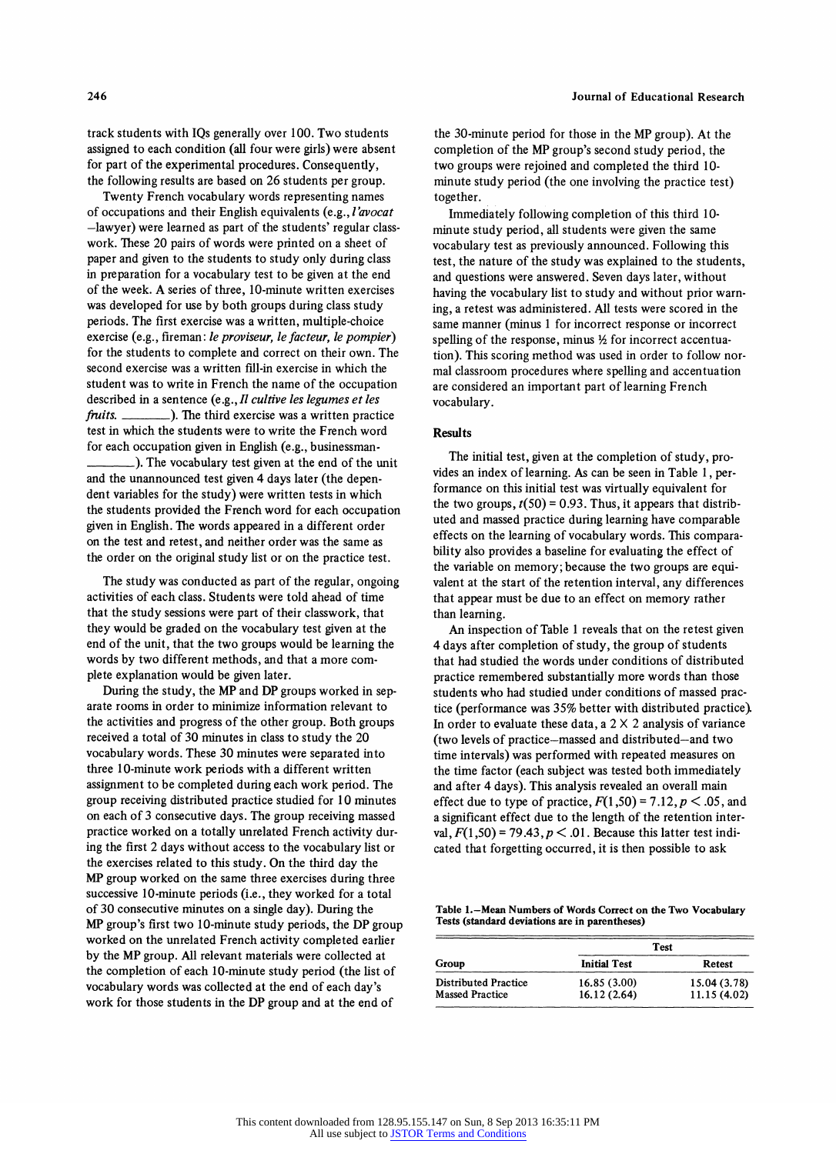**track students with IQs generally over 100. Two students assigned to each condition (all four were girls) were absent for part of the experimental procedures. Consequently, the following results are based on 26 students per group.** 

**Twenty French vocabulary words representing names of occupations and their English equivalents (e.g., l'avocat ?lawyer) were learned as part of the students' regular class work. These 20 pairs of words were printed on a sheet of paper and given to the students to study only during class in preparation for a vocabulary test to be given at the end of the week. A series of three, 10-minute written exercises was developed for use by both groups during class study periods. The first exercise was a written, multiple-choice exercise (e.g., fireman: le proviseur, le facteur, le pompier) for the students to complete and correct on their own. The second exercise was a written fill-in exercise in which the student was to write in French the name of the occupation**  described in a sentence (e.g., *Il cultive les legumes et les fruits.* ). The third exercise was a written praction **frait.** The third exercise was a written practice **test in which the students were to write the French word for each occupation given in English (e.g., businessman \_). The vocabulary test given at the end of the unit and the unannounced test given 4 days later (the depen dent variables for the study) were written tests in which the students provided the French word for each occupation** 

**given in English. The words appeared in a different order on the test and retest, and neither order was the same as the order on the original study list or on the practice test.** 

**The study was conducted as part of the regular, ongoing activities of each class. Students were told ahead of time that the study sessions were part of their classwork, that they would be graded on the vocabulary test given at the end of the unit, that the two groups would be learning the words by two different methods, and that a more com plete explanation would be given later.** 

During the study, the MP and DP groups worked in sep**arate rooms in order to minimize information relevant to the activities and progress of the other group. Both groups received a total of 30 minutes in class to study the 20 vocabulary words. These 30 minutes were separated into three 10-minute work periods with a different written assignment to be completed during each work period. The group receiving distributed practice studied for 10 minutes on each of 3 consecutive days. The group receiving massed practice worked on a totally unrelated French activity dur ing the first 2 days without access to the vocabulary list or the exercises related to this study. On the third day the MP group worked on the same three exercises during three successive 10-minute periods (i.e., they worked for a total of 30 consecutive minutes on a single day). During the MP group's first two 10-minute study periods, the DP group worked on the unrelated French activity completed earlier by the MP group. All relevant materials were collected at the completion of each 10-minute study period (the list of vocabulary words was collected at the end of each day's work for those students in the DP group and at the end of** 

**the 30-minute period for those in the MP group). At the completion of the MP group's second study period, the two groups were rejoined and completed the third 10 minute study period (the one involving the practice test)** 

 $\overline{a}$ **Immediately following completion of this third 10 minute study period, all students were given the same vocabulary test as previously announced. Following this test, the nature of the study was explained to the students, and questions were answered. Seven days later, without**  having the vocabulary list to study and without prior warn**ing, a retest was administered. All tests were scored in the same manner (minus 1 for incorrect response or incorrect**  spelling of the response, minus  $\frac{1}{2}$  for incorrect accentua**tion). This scoring method was used in order to follow nor mal classroom procedures where spelling and accentuation are considered an important part of learning French vocabulary.** 

### **Results**

The initial test, given at the completion of study, pro**vides an index of learning. As can be seen in Table 1, per formance on this initial test was virtually equivalent for**  the two groups,  $t(50) = 0.93$ . Thus, it appears that distributed by  $\frac{1}{2}$ **uted and massed practice during learning have comparable effects on the learning of vocabulary words. This compara bility also provides a baseline for evaluating the effect of the variable on memory; because the two groups are equi valent at the start of the retention interval, any differences that appear must be due to an effect on memory rather than learning.** 

**An inspection of Table 1 reveals that on the retest given 4 days after completion of study, the group of students that had studied the words under conditions of distributed practice remembered substantially more words than those students who had studied under conditions of massed prac tice (performance was 35% better with distributed practice). In order to evaluate these data, a 2 X 2 analysis of variance (two levels of practice?massed and distributed?and two time intervals) was performed with repeated measures on the time factor (each subject was tested both immediately and after 4 days). This analysis revealed an overall main**  effect due to type of practice,  $F(1,50) = 7.12$ ,  $p < .05$ , and **a significant effect due to the length of the retention inter**  val,  $F(1,50) = 79.43$ ,  $p < .01$ . Because this latter test ind **cated that forgetting occurred, it is then possible to ask** 

Table 1.-Mean Numbers of Words Correct on the Two Vocabulary **Tests (standard deviations are in parentheses)** 

| Group                                                 | Test                       |                             |
|-------------------------------------------------------|----------------------------|-----------------------------|
|                                                       | <b>Initial Test</b>        | Retest                      |
| <b>Distributed Practice</b><br><b>Massed Practice</b> | 16.85(3.00)<br>16.12(2.64) | 15.04 (3.78)<br>11.15(4.02) |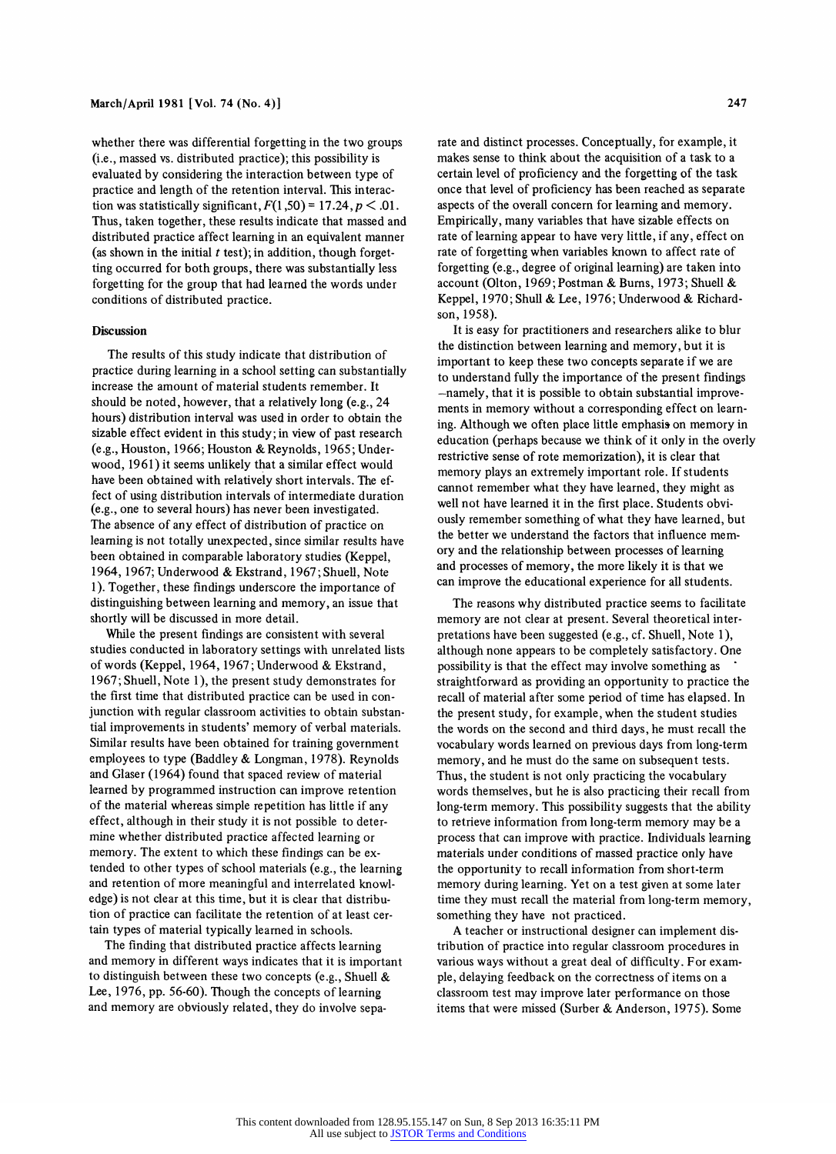**whether there was differential forgetting in the two groups (i.e., massed vs. distributed practice); this possibility is evaluated by considering the interaction between type of practice and length of the retention interval. This interac tion was statistically significant,**  $F(1,50) = 17.24, p < .01$ **Thus, taken together, these results indicate that massed and distributed practice affect learning in an equivalent manner**  (as shown in the initial t test); in addition, though forget**ting occurred for both groups, there was substantially less forgetting for the group that had learned the words under conditions of distributed practice.** 

## **Discussion**

**The results of this study indicate that distribution of practice during learning in a school setting can substantially increase the amount of material students remember. It should be noted, however, that a relatively long (e.g., 24 hours) distribution interval was used in order to obtain the sizable effect evident in this study ; in view of past research (e.g., Houston, 1966; Houston & Reynolds, 1965; Under wood, 1961) it seems unlikely that a similar effect would**  have been obtained with relatively short intervals. The effect of using distribution intervals of intermediate duration **fect of using distribution intervals of intermediate duration (e.g., one to several hours) has never been investigated. The absence of any effect of distribution of practice on learning is not totally unexpected, since similar results have been obtained in comparable laboratory studies (Keppel, 1964,1967; Underwood & Ekstrand, 1967;Shuell, Note 1). Together, these findings underscore the importance of distinguishing between learning and memory, an issue that shortly will be discussed in more detail.** 

**While the present findings are consistent with several studies conducted in laboratory settings with unrelated lists of words (Keppel, 1964,1967; Underwood & Ekstrand, 1967; Shuell, Note 1), the present study demonstrates for the first time that distributed practice can be used in con junction with regular classroom activities to obtain substan tial improvements in students' memory of verbal materials. Similar results have been obtained for training government employees to type (Baddley & Longman, 1978). Reynolds and Glaser (1964) found that spaced review of material learned by programmed instruction can improve retention of the material whereas simple repetition has little if any effect, although in their study it is not possible to deter mine whether distributed practice affected learning or memory. The extent to which these findings can be ex tended to other types of school materials (e.g., the learning and retention of more meaningful and interrelated knowl edge) is not clear at this time, but it is clear that distribu tion of practice can facilitate the retention of at least cer tain types of material typically learned in schools.** 

**The finding that distributed practice affects learning and memory in different ways indicates that it is important to distinguish between these two concepts (e.g., Shuell & Lee, 1976, pp. 56-60). Though the concepts of learning and memory are obviously related, they do involve sepa** 

**rate and distinct processes. Conceptually, for example, it makes sense to think about the acquisition of a task to a certain level of proficiency and the forgetting of the task once that level of proficiency has been reached as separate aspects of the overall concern for learning and memory. Empirically, many variables that have sizable effects on rate of learning appear to have very little, if any, effect on**  rate of forgetting when variables known to affect rate of **forgetting (e.g., degree of original learning) are taken into account (Olton, 1969; Postman & Burns, 1973; Shuell & Keppel, 1970; Shull & Lee, 1976; Underwood & Richard son, 1958).** 

**It is easy for practitioners and researchers alike to blur the distinction between learning and memory, but it is important to keep these two concepts separate if we are to understand fully the importance of the present findings**   $-$ namely, that it is possible to obtain substantial improve**ments in memory without a corresponding effect on learn ing. Although we often place little emphasis on memory in education (perhaps because we think of it only in the overly restrictive sense of rote memorization), it is clear that memory plays an extremely important role. If students cannot remember what they have learned, they might as**  well not have learned it in the first place. Students obvi**ously remember something of what they have learned, but the better we understand the factors that influence mem ory and the relationship between processes of learning and processes of memory, the more likely it is that we can improve the educational experience for all students.** 

**The reasons why distributed practice seems to facilitate memory are not clear at present. Several theoretical inter pretations have been suggested (e.g., cf. Shuell, Note 1), although none appears to be completely satisfactory. One possibility is that the effect may involve something as straightforward as providing an opportunity to practice the recall of material after some period of time has elapsed. In the present study, for example, when the student studies the words on the second and third days, he must recall the vocabulary words learned on previous days from long-term memory, and he must do the same on subsequent tests. Thus, the student is not only practicing the vocabulary words themselves, but he is also practicing their recall from long-term memory. This possibility suggests that the ability to retrieve information from long-term memory may be a process that can improve with practice. Individuals learning materials under conditions of massed practice only have the opportunity to recall information from short-term memory during learning. Yet on a test given at some later time they must recall the material from long-term memory, something they have not practiced.** 

**A teacher or instructional designer can implement dis tribution of practice into regular classroom procedures in various ways without a great deal of difficulty. For exam ple, delaying feedback on the correctness of items on a classroom test may improve later performance on those items that were missed (Surber & Anderson, 1975). Some**